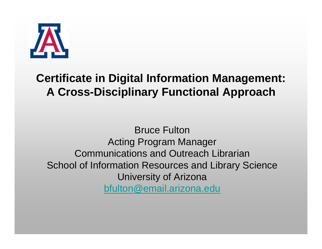

#### **Certificate in Digital Information Management: A Cross-Disciplinary Functional Approach**

Bruce FultonActing Program Manager Communications and Outreach LibrarianSchool of Information Resources and Library Science University of Arizona [bfulton@email.arizona.edu](mailto:bfulton@email.arizona.edu)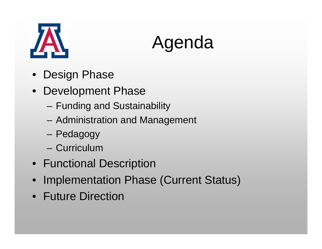



- •Design Phase
- Development Phase
	- –Funding and Sustainability
	- –Administration and Management
	- –Pedagogy
	- Curriculum
- Functional Description
- •Implementation Phase (Current Status)
- Future Direction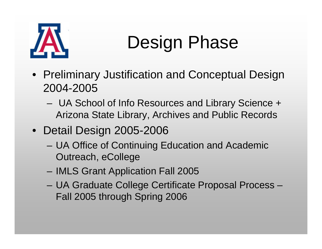

# Design Phase

- Preliminary Justification and Conceptual Design 2004-2005
	- – UA School of Info Resources and Library Science + Arizona State Library, Archives and Public Records
- Detail Design 2005-2006
	- – UA Office of Continuing Education and Academic Outreach, eCollege
	- IMLS Grant Application Fall 2005
	- UA Graduate College Certificate Proposal Process Fall 2005 through Spring 2006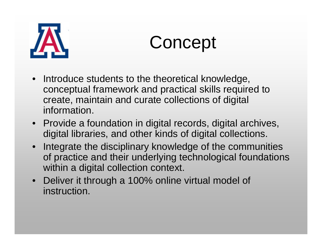

Concept

- $\bullet$  Introduce students to the theoretical knowledge, conceptual framework and practical skills required to create, maintain and curate collections of digital information.
- Provide a foundation in digital records, digital archives, digital libraries, and other kinds of digital collections.
- Integrate the disciplinary knowledge of the communities of practice and their underlying technological foundations within a digital collection context.
- Deliver it through a 100% online virtual model of instruction.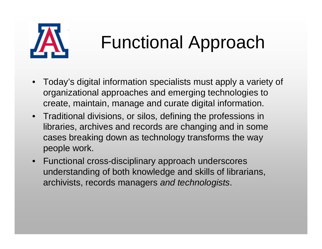

### Functional Approach

- $\bullet$  Today's digital information specialists must apply a variety of organizational approaches and emerging technologies to create, maintain, manage and curate digital information.
- Traditional divisions, or silos, defining the professions in libraries, archives and records are changing and in some cases breaking down as technology transforms the way people work.
- Functional cross-disciplinary approach underscores understanding of both knowledge and skills of librarians, archivists, records managers *and technologists*.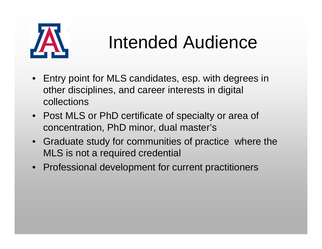

#### Intended Audience

- Entry point for MLS candidates, esp. with degrees in other disciplines, and career interests in digital collections
- Post MLS or PhD certificate of specialty or area of concentration, PhD minor, dual master's
- Graduate study for communities of practice where the MLS is not a required credential
- Professional development for current practitioners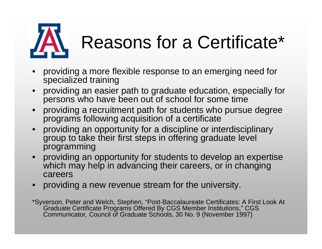

# Reasons for a Certificate\*

- • providing a more flexible response to an emerging need for specialized training
- • providing an easier path to graduate education, especially for persons who have been out of school for some time
- providing a recruitment path for students who pursue degree programs following acquisition of a certificate
- providing an opportunity for a discipline or interdisciplinary group to take their first steps in offering graduate level programming
- providing an opportunity for students to develop an expertise which may help in advancing their careers, or in changing careers
- providing a new revenue stream for the university.
- \*Syverson, Peter and Welch, Stephen, "Post-Baccalaureate Certificates: A First Look At Graduate Certificate Programs Offered By CGS Member Institutions," CGS Communicator*,* Council of Graduate Schools, 30 No. 9 (November 1997)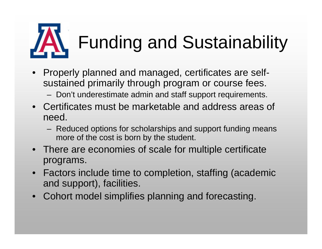

# Funding and Sustainability

- Properly planned and managed, certificates are selfsustained primarily through program or course fees.
	- Don't underestimate admin and staff support requirements.
- Certificates must be marketable and address areas of need.
	- Reduced options for scholarships and support funding means more of the cost is born by the student.
- There are economies of scale for multiple certificate programs.
- Factors include time to completion, staffing (academic and support), facilities.
- Cohort model simplifies planning and forecasting.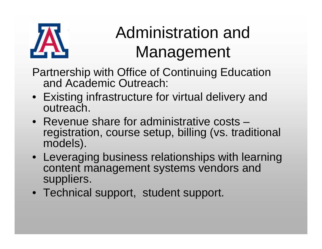

#### Administration and Management

- Partnership with Office of Continuing Education and Academic Outreach:
- Existing infrastructure for virtual delivery and outreach.
- Revenue share for administrative costs –registration, course setup, billing (vs. traditional models).
- Leveraging business relationships with learning content management systems vendors and suppliers.
- Technical support, student support.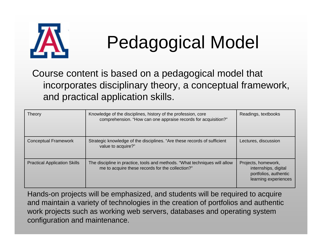

# Pedagogical Model

Course content is based on a pedagogical model that incorporates disciplinary theory, a conceptual framework, and practical application skills.

| Theory                              | Knowledge of the disciplines, history of the profession, core<br>comprehension. "How can one appraise records for acquisition?" | Readings, textbooks                                                                          |
|-------------------------------------|---------------------------------------------------------------------------------------------------------------------------------|----------------------------------------------------------------------------------------------|
| <b>Conceptual Framework</b>         | Strategic knowledge of the disciplines. "Are these records of sufficient<br>value to acquire?"                                  | Lectures, discussion                                                                         |
| <b>Practical Application Skills</b> | The discipline in practice, tools and methods. "What techniques will allow<br>me to acquire these records for the collection?"  | Projects, homework,<br>internships, digital<br>portfolios, authentic<br>learning experiences |

Hands-on projects will be emphasized, and students will be required to acquire and maintain a variety of technologies in the creation of portfolios and authentic work projects such as working web servers, databases and operating system configuration and maintenance.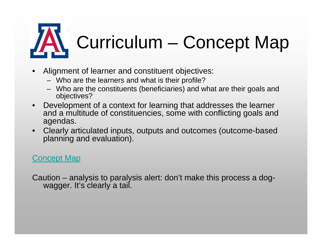# Curriculum – Concept Map

- • Alignment of learner and constituent objectives:
	- Who are the learners and what is their profile?
	- Who are the constituents (beneficiaries) and what are their goals and objectives?
- $\bullet$  Development of a context for learning that addresses the learner and a multitude of constituencies, some with conflicting goals and agendas.
- Clearly articulated inputs, outputs and outcomes (outcome-based planning and evaluation).

#### Concept Map

Caution – analysis to paralysis alert: don't make this process a dogwagger. It's clearly a tail.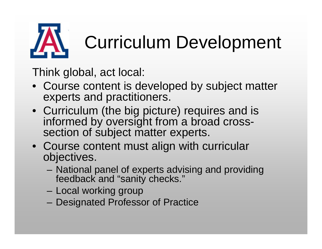

# Curriculum Development

Think global, act local:

- Course content is developed by subject matter experts and practitioners.
- Curriculum (the big picture) requires and is informed by oversight from a broad crosssection of subject matter experts.
- Course content must align with curricular objectives.
	- National panel of experts advising and providing feedback and "sanity checks."
	- –Local working group
	- Designated Professor of Practice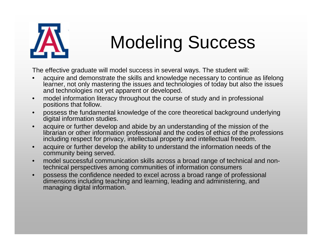

#### Modeling Success

The effective graduate will model success in several ways. The student will:

- • acquire and demonstrate the skills and knowledge necessary to continue as lifelong learner, not only mastering the issues and technologies of today but also the issues and technologies not yet apparent or developed.
- • model information literacy throughout the course of study and in professional positions that follow.
- • possess the fundamental knowledge of the core theoretical background underlying digital information studies.
- • acquire or further develop and abide by an understanding of the mission of the librarian or other information professional and the codes of ethics of the professions including respect for privacy, intellectual property and intellectual freedom.
- • acquire or further develop the ability to understand the information needs of the community being served.
- • model successful communication skills across a broad range of technical and nontechnical perspectives among communities of information consumers
- • possess the confidence needed to excel across a broad range of professional dimensions including teaching and learning, leading and administering, and managing digital information.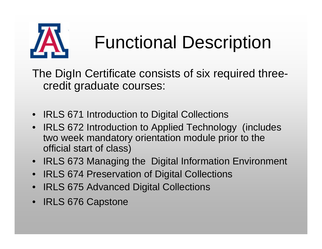

### Functional Description

The DigIn Certificate consists of six required threecredit graduate courses:

- IRLS 671 Introduction to Digital Collections
- $\bullet$  IRLS 672 Introduction to Applied Technology (includes two week mandatory orientation module prior to the official start of class)
- IRLS 673 Managing the Digital Information Environment
- •IRLS 674 Preservation of Digital Collections
- •IRLS 675 Advanced Digital Collections
- IRLS 676 Capstone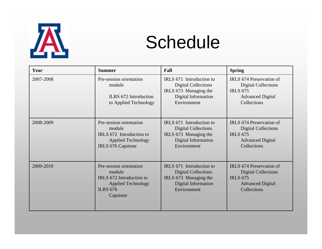

#### Schedule

| Year      | <b>Summer</b>                                                                                                             | Fall                                                                                                                  | <b>Spring</b>                                                                                                       |
|-----------|---------------------------------------------------------------------------------------------------------------------------|-----------------------------------------------------------------------------------------------------------------------|---------------------------------------------------------------------------------------------------------------------|
| 2007-2008 | Pre-session orientation<br>module<br>ILRS 672 Introduction<br>to Applied Technology                                       | IRLS 671 Introduction to<br><b>Digital Collections</b><br>IRLS 673 Managing the<br>Digital Information<br>Environment | IRLS 674 Preservation of<br><b>Digital Collections</b><br><b>IRLS 675</b><br><b>Advanced Digital</b><br>Collections |
| 2008-2009 | Pre-session orientation<br>module<br>IRLS 672 Introduction to<br><b>Applied Technology</b><br>IRLS 676 Capstone           | IRLS 671 Introduction to<br><b>Digital Collections</b><br>IRLS 673 Managing the<br>Digital Information<br>Environment | IRLS 674 Preservation of<br><b>Digital Collections</b><br><b>IRLS 675</b><br><b>Advanced Digital</b><br>Collections |
| 2009-2010 | Pre-session orientation<br>module<br>IRLS 672 Introduction to<br><b>Applied Technology</b><br><b>ILRS 676</b><br>Capstone | IRLS 671 Introduction to<br><b>Digital Collections</b><br>IRLS 673 Managing the<br>Digital Information<br>Environment | IRLS 674 Preservation of<br><b>Digital Collections</b><br><b>IRLS 675</b><br><b>Advanced Digital</b><br>Collections |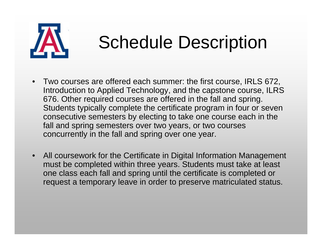

#### Schedule Description

- $\bullet$  Two courses are offered each summer: the first course, IRLS 672, Introduction to Applied Technology, and the capstone course, ILRS 676. Other required courses are offered in the fall and spring. Students typically complete the certificate program in four or seven consecutive semesters by electing to take one course each in the fall and spring semesters over two years, or two courses concurrently in the fall and spring over one year.
- $\bullet$  All coursework for the Certificate in Digital Information Management must be completed within three years. Students must take at least one class each fall and spring until the certificate is completed or request a temporary leave in order to preserve matriculated status.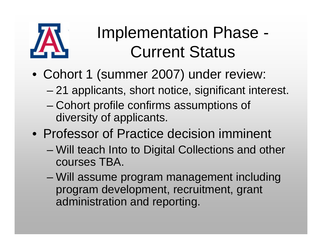

#### Implementation Phase - Current Status

- Cohort 1 (summer 2007) under review:
	- –21 applicants, short notice, significant interest.
	- – Cohort profile confirms assumptions of diversity of applicants.
- Professor of Practice decision imminent
	- – Will teach Into to Digital Collections and other courses TBA.
	- – Will assume program management including program development, recruitment, grant administration and reporting.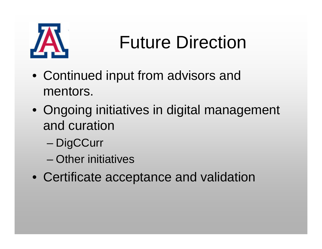

### Future Direction

- Continued input from advisors and mentors.
- Ongoing initiatives in digital management and curation
	- –**DigCCurr**
	- Other initiatives
- Certificate acceptance and validation